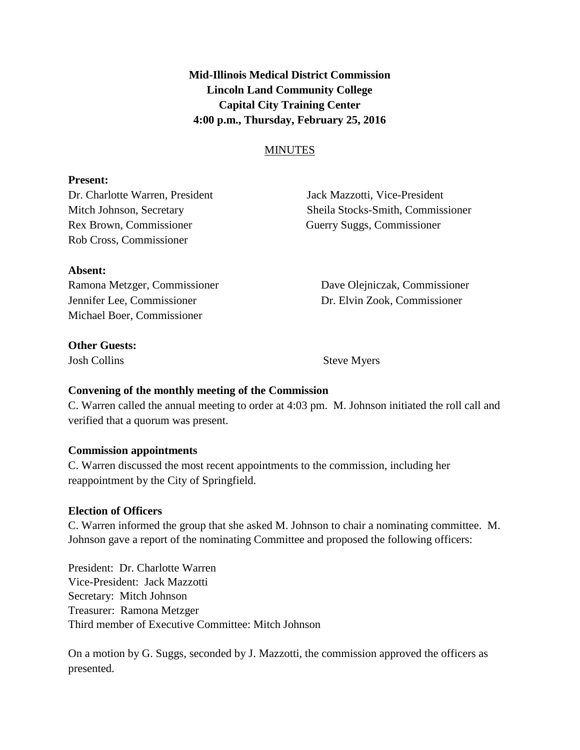**Mid-Illinois Medical District Commission Lincoln Land Community College Capital City Training Center 4:00 p.m., Thursday, February 25, 2016**

#### **MINUTES**

#### **Present:**

Dr. Charlotte Warren, President Jack Mazzotti, Vice-President Rex Brown, Commissioner Guerry Suggs, Commissioner Rob Cross, Commissioner

Mitch Johnson, Secretary Sheila Stocks-Smith, Commissioner

# **Absent:** Ramona Metzger, Commissioner Dave Olejniczak, Commissioner Jennifer Lee, Commissioner Dr. Elvin Zook, Commissioner

Michael Boer, Commissioner

**Other Guests:**

Josh Collins Steve Myers

### **Convening of the monthly meeting of the Commission**

C. Warren called the annual meeting to order at 4:03 pm. M. Johnson initiated the roll call and verified that a quorum was present.

### **Commission appointments**

C. Warren discussed the most recent appointments to the commission, including her reappointment by the City of Springfield.

### **Election of Officers**

C. Warren informed the group that she asked M. Johnson to chair a nominating committee. M. Johnson gave a report of the nominating Committee and proposed the following officers:

President: Dr. Charlotte Warren Vice-President: Jack Mazzotti Secretary: Mitch Johnson Treasurer: Ramona Metzger Third member of Executive Committee: Mitch Johnson

On a motion by G. Suggs, seconded by J. Mazzotti, the commission approved the officers as presented.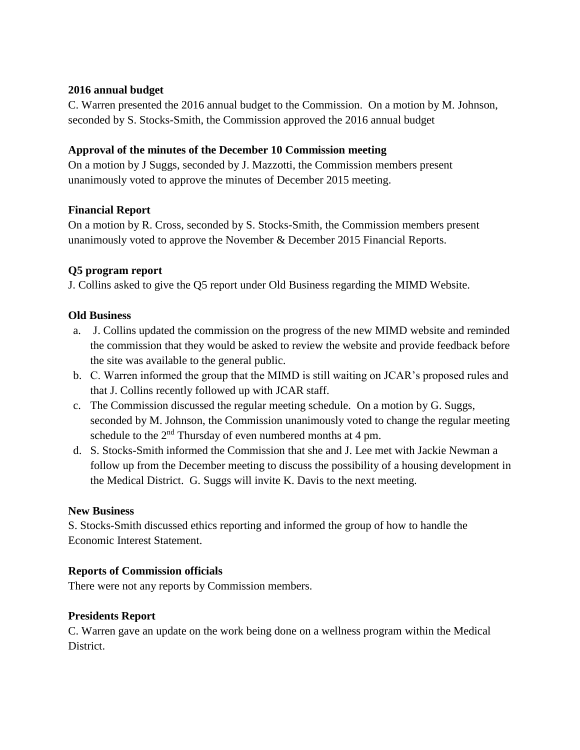#### **2016 annual budget**

C. Warren presented the 2016 annual budget to the Commission. On a motion by M. Johnson, seconded by S. Stocks-Smith, the Commission approved the 2016 annual budget

#### **Approval of the minutes of the December 10 Commission meeting**

On a motion by J Suggs, seconded by J. Mazzotti, the Commission members present unanimously voted to approve the minutes of December 2015 meeting.

### **Financial Report**

On a motion by R. Cross, seconded by S. Stocks-Smith, the Commission members present unanimously voted to approve the November & December 2015 Financial Reports.

## **Q5 program report**

J. Collins asked to give the Q5 report under Old Business regarding the MIMD Website.

### **Old Business**

- a. J. Collins updated the commission on the progress of the new MIMD website and reminded the commission that they would be asked to review the website and provide feedback before the site was available to the general public.
- b. C. Warren informed the group that the MIMD is still waiting on JCAR's proposed rules and that J. Collins recently followed up with JCAR staff.
- c. The Commission discussed the regular meeting schedule. On a motion by G. Suggs, seconded by M. Johnson, the Commission unanimously voted to change the regular meeting schedule to the  $2<sup>nd</sup>$  Thursday of even numbered months at 4 pm.
- d. S. Stocks-Smith informed the Commission that she and J. Lee met with Jackie Newman a follow up from the December meeting to discuss the possibility of a housing development in the Medical District. G. Suggs will invite K. Davis to the next meeting.

### **New Business**

S. Stocks-Smith discussed ethics reporting and informed the group of how to handle the Economic Interest Statement.

### **Reports of Commission officials**

There were not any reports by Commission members.

### **Presidents Report**

C. Warren gave an update on the work being done on a wellness program within the Medical District.